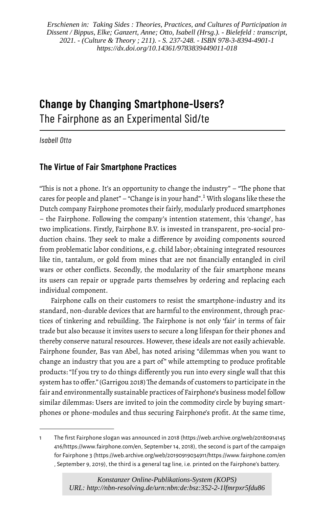*Erschienen in: Taking Sides : Theories, Practices, and Cultures of Participation in Dissent / Bippus, Elke; Ganzert, Anne; Otto, Isabell (Hrsg.). - Bielefeld : transcript, 2021. - (Culture & Theory ; 211). - S. 237-248. - ISBN 978-3-8394-4901-1 https://dx.doi.org/10.14361/9783839449011-018*

# **Change by Changing Smartphone-Users?** The Fairphone as an Experimental Sid/te

*Isabell Otto*

# **The Virtue of Fair Smartphone Practices**

"This is not a phone. It's an opportunity to change the industry" – "The phone that cares for people and planet" – "Change is in your hand".[1](#page-0-0) With slogans like these the Dutch company Fairphone promotes their fairly, modularly produced smartphones – the Fairphone. Following the company's intention statement, this 'change', has two implications. Firstly, Fairphone B.V. is invested in transparent, pro-social production chains. They seek to make a difference by avoiding components sourced from problematic labor conditions, e.g. child labor; obtaining integrated resources like tin, tantalum, or gold from mines that are not financially entangled in civil wars or other conflicts. Secondly, the modularity of the fair smartphone means its users can repair or upgrade parts themselves by ordering and replacing each individual component.

Fairphone calls on their customers to resist the smartphone-industry and its standard, non-durable devices that are harmful to the environment, through practices of tinkering and rebuilding. The Fairphone is not only 'fair' in terms of fair trade but also because it invites users to secure a long lifespan for their phones and thereby conserve natural resources. However, these ideals are not easily achievable. Fairphone founder, Bas van Abel, has noted arising "dilemmas when you want to change an industry that you are a part of" while attempting to produce profitable products: "If you try to do things differently you run into every single wall that this system has to offer." (Garrigou 2018) The demands of customers to participate in the fair and environmentally sustainable practices of Fairphone's business model follow similar dilemmas: Users are invited to join the commodity circle by buying smartphones or phone-modules and thus securing Fairphone's profit. At the same time,

<span id="page-0-0"></span><sup>1</sup> The first Fairphone slogan was announced in 2018 [\(https://web.archive.org/web/20180914145](https://web.archive.org/web/20180914145416/https://www.fairphone.com/en) [416/https://www.fairphone.com/en,](https://web.archive.org/web/20180914145416/https://www.fairphone.com/en) September 14, 2018), the second is part of the campaign for Fairphone3 [\(https://web.archive.org/web/20190919034911/https://www.fairphone.com/en](https://web.archive.org/web/20190919034911/https://www.fairphone.com/en) , September 9, 2019), the third is a general tag line, i.e. printed on the Fairphone's battery.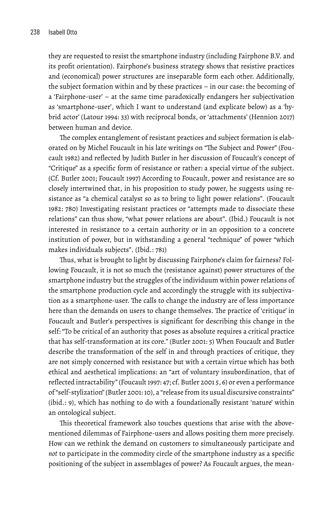they are requested to resist the smartphone industry (including Fairphone B.V. and its profit orientation). Fairphone's business strategy shows that resistive practices and (economical) power structures are inseparable form each other. Additionally, the subject formation within and by these practices – in our case: the becoming of a 'Fairphone-user' – at the same time paradoxically endangers her subjectivation as 'smartphone-user', which I want to understand (and explicate below) as a 'hybrid actor' (Latour 1994: 33) with reciprocal bonds, or 'attachments' (Hennion 2017) between human and device.

The complex entanglement of resistant practices and subject formation is elaborated on by Michel Foucault in his late writings on "The Subject and Power" (Foucault 1982) and reflected by Judith Butler in her discussion of Foucault's concept of "Critique" as a specific form of resistance or rather: a special virtue of the subject. (Cf. Butler 2001; Foucault 1997) According to Foucault, power and resistance are so closely intertwined that, in his proposition to study power, he suggests using resistance as "a chemical catalyst so as to bring to light power relations". (Foucault 1982: 780) Investigating resistant practices or "attempts made to dissociate these relations" can thus show, "what power relations are about". (Ibid.) Foucault is not interested in resistance to a certain authority or in an opposition to a concrete institution of power, but in withstanding a general "technique" of power "which makes individuals subjects". (Ibid.: 781)

Thus, what is brought to light by discussing Fairphone's claim for fairness? Following Foucault, it is not so much the (resistance against) power structures of the smartphone industry but the struggles of the individuum within power relations of the smartphone production cycle and accordingly the struggle with its subjectivation as a smartphone-user. The calls to change the industry are of less importance here than the demands on users to change themselves. The practice of 'critique' in Foucault and Butler's perspectives is significant for describing this change in the self: "To be critical of an authority that poses as absolute requires a critical practice that has self-transformation at its core." (Butler 2001: 5) When Foucault and Butler describe the transformation of the self in and through practices of critique, they are not simply concerned with resistance but with a certain virtue which has both ethical and aesthetical implications: an "art of voluntary insubordination, that of reflected intractability" (Foucault 1997: 47; cf. Butler 2001 5, 6) or even a performance of "self-stylization" (Butler 2001: 10), a "release from its usual discursive constraints" (ibid.: 9), which has nothing to do with a foundationally resistant 'nature' within an ontological subject.

This theoretical framework also touches questions that arise with the abovementioned dilemmas of Fairphone-users and allows positing them more precisely. How can we rethink the demand on customers to simultaneously participate and *not* to participate in the commodity circle of the smartphone industry as a specific positioning of the subject in assemblages of power? As Foucault argues, the mean-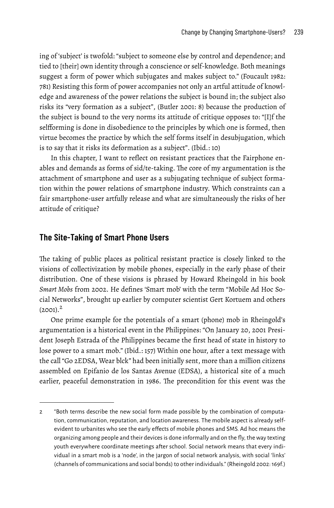ing of 'subject' is twofold: "subject to someone else by control and dependence; and tied to [their] own identity through a conscience or self-knowledge. Both meanings suggest a form of power which subjugates and makes subject to." (Foucault 1982: 781) Resisting this form of power accompanies not only an artful attitude of knowledge and awareness of the power relations the subject is bound in; the subject also risks its "very formation as a subject", (Butler 2001: 8) because the production of the subject is bound to the very norms its attitude of critique opposes to: "[I]f the selfforming is done in disobedience to the principles by which one is formed, then virtue becomes the practice by which the self forms itself in desubjugation, which is to say that it risks its deformation as a subject". (Ibid.: 10)

In this chapter, I want to reflect on resistant practices that the Fairphone enables and demands as forms of sid/te-taking. The core of my argumentation is the attachment of smartphone and user as a subjugating technique of subject formation within the power relations of smartphone industry. Which constraints can a fair smartphone-user artfully release and what are simultaneously the risks of her attitude of critique?

#### **The Site-Taking of Smart Phone Users**

The taking of public places as political resistant practice is closely linked to the visions of collectivization by mobile phones, especially in the early phase of their distribution. One of these visions is phrased by Howard Rheingold in his book *Smart Mobs* from 2002. He defines 'Smart mob' with the term "Mobile Ad Hoc Social Networks", brought up earlier by computer scientist Gert Kortuem and others  $(2001).<sup>2</sup>$  $(2001).<sup>2</sup>$  $(2001).<sup>2</sup>$ 

One prime example for the potentials of a smart (phone) mob in Rheingold's argumentation is a historical event in the Philippines: "On January 20, 2001 President Joseph Estrada of the Philippines became the first head of state in history to lose power to a smart mob." (Ibid.: 157) Within one hour, after a text message with the call "Go 2EDSA, Wear blck" had been initially sent, more than a million citizens assembled on Epifanio de los Santas Avenue (EDSA), a historical site of a much earlier, peaceful demonstration in 1986. The precondition for this event was the

<span id="page-2-0"></span><sup>2 &</sup>quot;Both terms describe the new social form made possible by the combination of computation, communication, reputation, and location awareness. The mobile aspect is already selfevident to urbanites who see the early effects of mobile phones and SMS. Ad hoc means the organizing among people and their devices is done informally and on the fly, the way texting youth everywhere coordinate meetings after school. Social network means that every individual in a smart mob is a 'node', in the jargon of social network analysis, with social 'links' (channels of communications and social bonds) to other individuals." (Rheingold 2002: 169f.)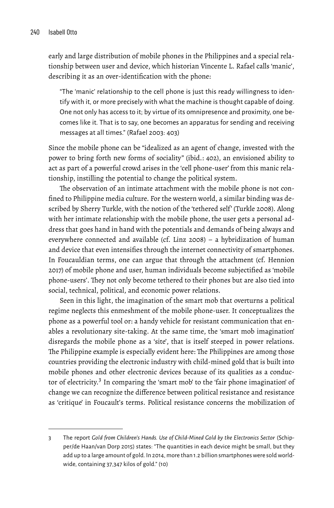early and large distribution of mobile phones in the Philippines and a special relationship between user and device, which historian Vincente L. Rafael calls 'manic', describing it as an over-identification with the phone:

"The 'manic' relationship to the cell phone is just this ready willingness to identify with it, or more precisely with what the machine is thought capable of doing. One not only has access to it; by virtue of its omnipresence and proximity, one becomes like it. That is to say, one becomes an apparatus for sending and receiving messages at all times." (Rafael 2003: 403)

Since the mobile phone can be "idealized as an agent of change, invested with the power to bring forth new forms of sociality" (ibid.: 402), an envisioned ability to act as part of a powerful crowd arises in the 'cell phone-user' from this manic relationship, instilling the potential to change the political system.

The observation of an intimate attachment with the mobile phone is not confined to Philippine media culture. For the western world, a similar binding was described by Sherry Turkle, with the notion of the 'tethered self' (Turkle 2008). Along with her intimate relationship with the mobile phone, the user gets a personal address that goes hand in hand with the potentials and demands of being always and everywhere connected and available (cf. Linz 2008) – a hybridization of human and device that even intensifies through the internet connectivity of smartphones. In Foucauldian terms, one can argue that through the attachment (cf. Hennion 2017) of mobile phone and user, human individuals become subjectified as 'mobile phone-users'. They not only become tethered to their phones but are also tied into social, technical, political, and economic power relations.

Seen in this light, the imagination of the smart mob that overturns a political regime neglects this enmeshment of the mobile phone-user. It conceptualizes the phone as a powerful tool or: a handy vehicle for resistant communication that enables a revolutionary site-taking. At the same time, the 'smart mob imagination' disregards the mobile phone as a 'site', that is itself steeped in power relations. The Philippine example is especially evident here: The Philippines are among those countries providing the electronic industry with child-mined gold that is built into mobile phones and other electronic devices because of its qualities as a conduc-tor of electricity.<sup>[3](#page-3-0)</sup> In comparing the 'smart mob' to the 'fair phone imagination' of change we can recognize the difference between political resistance and resistance as 'critique' in Foucault's terms. Political resistance concerns the mobilization of

<span id="page-3-0"></span><sup>3</sup> The report *Gold from Children's Hands. Use of Child-Mined Gold by the Electronics Sector* (Schipper/de Haan/van Dorp 2015) states: "The quantities in each device might be small, but they add up to a large amount of gold. In 2014, more than 1.2 billion smartphones were sold worldwide, containing 37,347 kilos of gold." (10)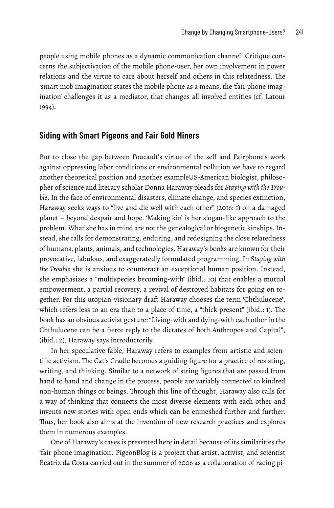people using mobile phones as a dynamic communication channel. Critique concerns the subjectivation of the mobile phone-user, her own involvement in power relations and the virtue to care about herself and others in this relatedness. The 'smart mob imagination' states the mobile phone as a means, the 'fair phone imagination' challenges it as a mediator, that changes all involved entities (cf. Latour 1994).

#### **Siding with Smart Pigeons and Fair Gold Miners**

But to close the gap between Foucault's virtue of the self and Fairphone's work against oppressing labor conditions or environmental pollution we have to regard another theoretical position and another exampleUS-American biologist, philosopher of science and literary scholar Donna Haraway pleads for *Staying with the Trouble*. In the face of environmental disasters, climate change, and species extinction, Haraway seeks ways to "live and die well with each other" (2016: 1) on a damaged planet – beyond despair and hope. 'Making kin' is her slogan-like approach to the problem. What she has in mind are not the genealogical or biogenetic kinships. Instead, she calls for demonstrating, enduring, and redesigning the close relatedness of humans, plants, animals, and technologies. Haraway's books are known for their provocative, fabulous, and exaggeratedly formulated programming. In *Staying with the Trouble* she is anxious to counteract an exceptional human position. Instead, she emphasizes a "multispecies becoming-with" (ibid.: 10) that enables a mutual empowerment, a partial recovery, a revival of destroyed habitats for going on together. For this utopian-visionary draft Haraway chooses the term 'Chthulucene', which refers less to an era than to a place of time, a "thick present" (ibid.: 1). The book has an obvious activist gesture: "Living-with and dying-with each other in the Chthulucene can be a fierce reply to the dictates of both Anthropos and Capital", (ibid.: 2), Haraway says introductorily.

In her speculative fable, Haraway refers to examples from artistic and scientific activism. The Cat's Cradle becomes a guiding figure for a practice of resisting, writing, and thinking. Similar to a network of string figures that are passed from hand to hand and change in the process, people are variably connected to kindred non-human things or beings. Through this line of thought, Haraway also calls for a way of thinking that connects the most diverse elements with each other and invents new stories with open ends which can be enmeshed further and further. Thus, her book also aims at the invention of new research practices and explores them in numerous examples.

One of Haraway's cases is presented here in detail because of its similarities the 'fair phone imagination'. PigeonBlog is a project that artist, activist, and scientist Beatriz da Costa carried out in the summer of 2006 as a collaboration of racing pi-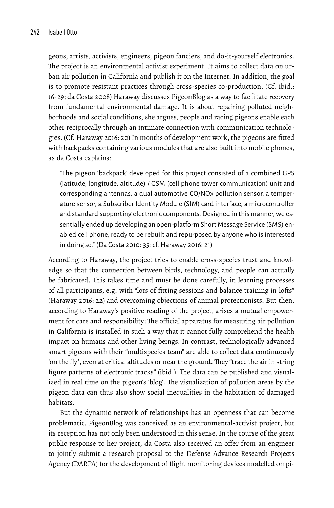geons, artists, activists, engineers, pigeon fanciers, and do-it-yourself electronics. The project is an environmental activist experiment. It aims to collect data on urban air pollution in California and publish it on the Internet. In addition, the goal is to promote resistant practices through cross-species co-production. (Cf. ibid.: 16-29; da Costa 2008) Haraway discusses PigeonBlog as a way to facilitate recovery from fundamental environmental damage. It is about repairing polluted neighborhoods and social conditions, she argues, people and racing pigeons enable each other reciprocally through an intimate connection with communication technologies. (Cf. Haraway 2016: 20) In months of development work, the pigeons are fitted with backpacks containing various modules that are also built into mobile phones, as da Costa explains:

"The pigeon 'backpack' developed for this project consisted of a combined GPS (latitude, longitude, altitude) / GSM (cell phone tower communication) unit and corresponding antennas, a dual automotive CO/NOx pollution sensor, a temperature sensor, a Subscriber Identity Module (SIM) card interface, a microcontroller and standard supporting electronic components. Designed in this manner, we essentially ended up developing an open-platform Short Message Service (SMS) enabled cell phone, ready to be rebuilt and repurposed by anyone who is interested in doing so." (Da Costa 2010: 35; cf. Haraway 2016: 21)

According to Haraway, the project tries to enable cross-species trust and knowledge so that the connection between birds, technology, and people can actually be fabricated. This takes time and must be done carefully, in learning processes of all participants, e.g. with "lots of fitting sessions and balance training in lofts" (Haraway 2016: 22) and overcoming objections of animal protectionists. But then, according to Haraway's positive reading of the project, arises a mutual empowerment for care and responsibility: The official apparatus for measuring air pollution in California is installed in such a way that it cannot fully comprehend the health impact on humans and other living beings. In contrast, technologically advanced smart pigeons with their "multispecies team" are able to collect data continuously 'on the fly', even at critical altitudes or near the ground. They "trace the air in string figure patterns of electronic tracks" (ibid.): The data can be published and visualized in real time on the pigeon's 'blog'. The visualization of pollution areas by the pigeon data can thus also show social inequalities in the habitation of damaged habitats.

But the dynamic network of relationships has an openness that can become problematic. PigeonBlog was conceived as an environmental-activist project, but its reception has not only been understood in this sense. In the course of the great public response to her project, da Costa also received an offer from an engineer to jointly submit a research proposal to the Defense Advance Research Projects Agency (DARPA) for the development of flight monitoring devices modelled on pi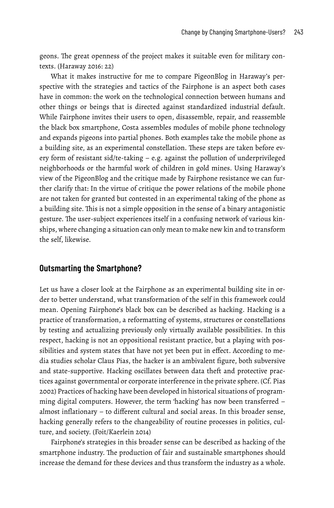geons. The great openness of the project makes it suitable even for military contexts. (Haraway 2016: 22)

What it makes instructive for me to compare PigeonBlog in Haraway's perspective with the strategies and tactics of the Fairphone is an aspect both cases have in common: the work on the technological connection between humans and other things or beings that is directed against standardized industrial default. While Fairphone invites their users to open, disassemble, repair, and reassemble the black box smartphone, Costa assembles modules of mobile phone technology and expands pigeons into partial phones. Both examples take the mobile phone as a building site, as an experimental constellation. These steps are taken before every form of resistant sid/te-taking – e.g. against the pollution of underprivileged neighborhoods or the harmful work of children in gold mines. Using Haraway's view of the PigeonBlog and the critique made by Fairphone resistance we can further clarify that: In the virtue of critique the power relations of the mobile phone are not taken for granted but contested in an experimental taking of the phone as a building site. This is not a simple opposition in the sense of a binary antagonistic gesture. The user-subject experiences itself in a confusing network of various kinships, where changing a situation can only mean to make new kin and to transform the self, likewise.

### **Outsmarting the Smartphone?**

Let us have a closer look at the Fairphone as an experimental building site in order to better understand, what transformation of the self in this framework could mean. Opening Fairphone's black box can be described as hacking. Hacking is a practice of transformation, a reformatting of systems, structures or constellations by testing and actualizing previously only virtually available possibilities. In this respect, hacking is not an oppositional resistant practice, but a playing with possibilities and system states that have not yet been put in effect. According to media studies scholar Claus Pias, the hacker is an ambivalent figure, both subversive and state-supportive. Hacking oscillates between data theft and protective practices against governmental or corporate interference in the private sphere. (Cf. Pias 2002) Practices of hacking have been developed in historical situations of programming digital computers. However, the term 'hacking' has now been transferred – almost inflationary – to different cultural and social areas. In this broader sense, hacking generally refers to the changeability of routine processes in politics, culture, and society. (Foit/Kaerlein 2014)

Fairphone's strategies in this broader sense can be described as hacking of the smartphone industry. The production of fair and sustainable smartphones should increase the demand for these devices and thus transform the industry as a whole.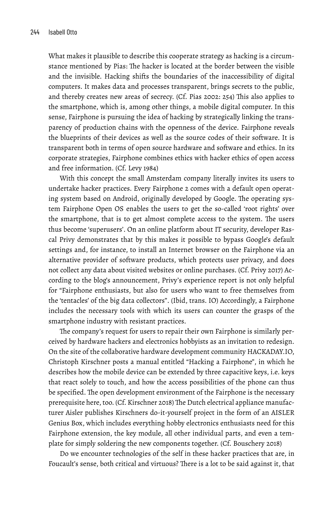What makes it plausible to describe this cooperate strategy as hacking is a circumstance mentioned by Pias: The hacker is located at the border between the visible and the invisible. Hacking shifts the boundaries of the inaccessibility of digital computers. It makes data and processes transparent, brings secrets to the public, and thereby creates new areas of secrecy. (Cf. Pias 2002: 254) This also applies to the smartphone, which is, among other things, a mobile digital computer. In this sense, Fairphone is pursuing the idea of hacking by strategically linking the transparency of production chains with the openness of the device. Fairphone reveals the blueprints of their devices as well as the source codes of their software. It is transparent both in terms of open source hardware and software and ethics. In its corporate strategies, Fairphone combines ethics with hacker ethics of open access and free information. (Cf. Levy 1984)

With this concept the small Amsterdam company literally invites its users to undertake hacker practices. Every Fairphone 2 comes with a default open operating system based on Android, originally developed by Google. The operating system Fairphone Open OS enables the users to get the so-called 'root rights' over the smartphone, that is to get almost complete access to the system. The users thus become 'superusers'. On an online platform about IT security, developer Rascal Privy demonstrates that by this makes it possible to bypass Google's default settings and, for instance, to install an Internet browser on the Fairphone via an alternative provider of software products, which protects user privacy, and does not collect any data about visited websites or online purchases. (Cf. Privy 2017) According to the blog's announcement, Privy's experience report is not only helpful for "Fairphone enthusiasts, but also for users who want to free themselves from the 'tentacles' of the big data collectors". (Ibid, trans. IO) Accordingly, a Fairphone includes the necessary tools with which its users can counter the grasps of the smartphone industry with resistant practices.

The company's request for users to repair their own Fairphone is similarly perceived by hardware hackers and electronics hobbyists as an invitation to redesign. On the site of the collaborative hardware development community HACKADAY.IO, Christoph Kirschner posts a manual entitled "Hacking a Fairphone", in which he describes how the mobile device can be extended by three capacitive keys, i.e. keys that react solely to touch, and how the access possibilities of the phone can thus be specified. The open development environment of the Fairphone is the necessary prerequisite here, too. (Cf. Kirschner 2018) The Dutch electrical appliance manufacturer Aisler publishes Kirschners do-it-yourself project in the form of an AISLER Genius Box, which includes everything hobby electronics enthusiasts need for this Fairphone extension, the key module, all other individual parts, and even a template for simply soldering the new components together. (Cf. Bouschery 2018)

Do we encounter technologies of the self in these hacker practices that are, in Foucault's sense, both critical and virtuous? There is a lot to be said against it, that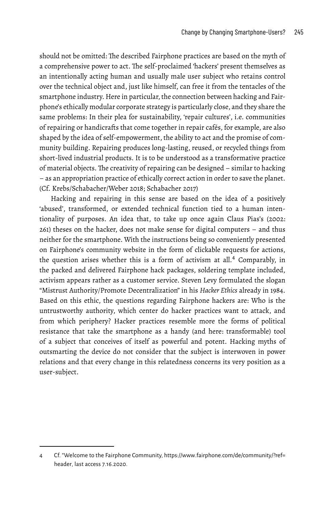should not be omitted: The described Fairphone practices are based on the myth of a comprehensive power to act. The self-proclaimed 'hackers' present themselves as an intentionally acting human and usually male user subject who retains control over the technical object and, just like himself, can free it from the tentacles of the smartphone industry. Here in particular, the connection between hacking and Fairphone's ethically modular corporate strategy is particularly close, and they share the same problems: In their plea for sustainability, 'repair cultures', i.e. communities of repairing or handicrafts that come together in repair cafés, for example, are also shaped by the idea of self-empowerment, the ability to act and the promise of community building. Repairing produces long-lasting, reused, or recycled things from short-lived industrial products. It is to be understood as a transformative practice of material objects. The creativity of repairing can be designed – similar to hacking – as an appropriation practice of ethically correct action in order to save the planet. (Cf. Krebs/Schabacher/Weber 2018; Schabacher 2017)

Hacking and repairing in this sense are based on the idea of a positively 'abused', transformed, or extended technical function tied to a human intentionality of purposes. An idea that, to take up once again Claus Pias's (2002: 261) theses on the hacker, does not make sense for digital computers – and thus neither for the smartphone. With the instructions being so conveniently presented on Fairphone's community website in the form of clickable requests for actions, the question arises whether this is a form of activism at all.[4](#page-8-0) Comparably, in the packed and delivered Fairphone hack packages, soldering template included, activism appears rather as a customer service. Steven Levy formulated the slogan "Mistrust Authority/Promote Decentralization" in his *Hacker Ethics* already in 1984. Based on this ethic, the questions regarding Fairphone hackers are: Who is the untrustworthy authority, which center do hacker practices want to attack, and from which periphery? Hacker practices resemble more the forms of political resistance that take the smartphone as a handy (and here: transformable) tool of a subject that conceives of itself as powerful and potent. Hacking myths of outsmarting the device do not consider that the subject is interwoven in power relations and that every change in this relatedness concerns its very position as a user-subject.

<span id="page-8-0"></span><sup>4</sup> Cf. "Welcome to the Fairphone Community, [https://www.fairphone.com/de/community/?ref=](https://www.fairphone.com/de/community/?ref=header) [header,](https://www.fairphone.com/de/community/?ref=header) last access 7.16.2020.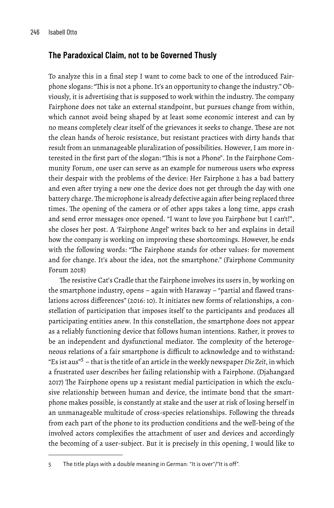# **The Paradoxical Claim, not to be Governed Thusly**

To analyze this in a final step I want to come back to one of the introduced Fairphone slogans: "This is not a phone. It's an opportunity to change the industry." Obviously, it is advertising that is supposed to work within the industry. The company Fairphone does not take an external standpoint, but pursues change from within, which cannot avoid being shaped by at least some economic interest and can by no means completely clear itself of the grievances it seeks to change. These are not the clean hands of heroic resistance, but resistant practices with dirty hands that result from an unmanageable pluralization of possibilities. However, I am more interested in the first part of the slogan: "This is not a Phone". In the Fairphone Community Forum, one user can serve as an example for numerous users who express their despair with the problems of the device: Her Fairphone 2 has a bad battery and even after trying a new one the device does not get through the day with one battery charge.The microphone is already defective again after being replaced three times. The opening of the camera or of other apps takes a long time, apps crash and send error messages once opened. "I want to love you Fairphone but I can't!", she closes her post. A 'Fairphone Angel' writes back to her and explains in detail how the company is working on improving these shortcomings. However, he ends with the following words: "The Fairphone stands for other values: for movement and for change. It's about the idea, not the smartphone." (Fairphone Community Forum 2018)

The resistive Cat's Cradle that the Fairphone involves its users in, by working on the smartphone industry, opens – again with Haraway – "partial and flawed translations across differences" (2016: 10). It initiates new forms of relationships, a constellation of participation that imposes itself to the participants and produces all participating entities anew. In this constellation, the smartphone does not appear as a reliably functioning device that follows human intentions. Rather, it proves to be an independent and dysfunctional mediator. The complexity of the heterogeneous relations of a fair smartphone is difficult to acknowledge and to withstand: "Es ist aus"[5](#page-9-0) – that is the title of an article in the weekly newspaper *Die Zeit*, in which a frustrated user describes her failing relationship with a Fairphone. (Djahangard 2017) The Fairphone opens up a resistant medial participation in which the exclusive relationship between human and device, the intimate bond that the smartphone makes possible, is constantly at stake and the user at risk of losing herself in an unmanageable multitude of cross-species relationships. Following the threads from each part of the phone to its production conditions and the well-being of the involved actors complexifies the attachment of user and devices and accordingly the becoming of a user-subject. But it is precisely in this opening, I would like to

<span id="page-9-0"></span><sup>5</sup> The title plays with a double meaning in German: "It is over"/"It is off".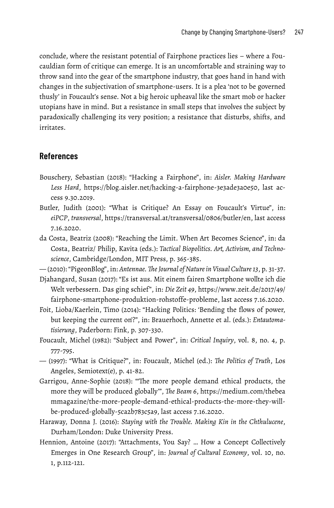conclude, where the resistant potential of Fairphone practices lies – where a Foucauldian form of critique can emerge. It is an uncomfortable and straining way to throw sand into the gear of the smartphone industry, that goes hand in hand with changes in the subjectivation of smartphone-users. It is a plea 'not to be governed thusly' in Foucault's sense. Not a big heroic upheaval like the smart mob or hacker utopians have in mind. But a resistance in small steps that involves the subject by paradoxically challenging its very position; a resistance that disturbs, shifts, and irritates.

# **References**

- Bouschery, Sebastian (2018): "Hacking a Fairphone", in: *Aisler. Making Hardware Less Hard*, [https://blog.aisler.net/hacking-a-fairphone-3e3ade3a0e50,](https://blog.aisler.net/hacking-a-fairphone-3e3ade3a0e50) last access 9.30.2019.
- Butler, Judith (2001): "What is Critique? An Essay on Foucault's Virtue", in: *eiPCP*, *transversal*, [https://transversal.at/transversal/0806/butler/en,](https://transversal.at/transversal/0806/butler/en) last access 7.16.2020.
- da Costa, Beatriz (2008): "Reaching the Limit. When Art Becomes Science", in: da Costa, Beatriz/ Philip, Kavita (eds.): *Tactical Biopolitics. Art, Activism, and Technoscience*, Cambridge/London, MIT Press, p. 365-385.
- (2010): "PigeonBlog", in: *Antennae. The Journal of Nature in Visual Culture 13*, p. 31-37.
- Djahangard, Susan (2017): "Es ist aus. Mit einem fairen Smartphone wollte ich die Welt verbessern. Das ging schief", in: *Die Zeit 49*, [https://www.zeit.de/2017/49/](https://www.zeit.de/2017/49/fairphone-smartphone-produktion-rohstoffe-probleme) [fairphone-smartphone-produktion-rohstoffe-probleme,](https://www.zeit.de/2017/49/fairphone-smartphone-produktion-rohstoffe-probleme) last access 7.16.2020.
- Foit, Lioba/Kaerlein, Timo (2014): "Hacking Politics: 'Bending the flows of power, but keeping the current on'?", in: Brauerhoch, Annette et al. (eds.): *Entautomatisierung*, Paderborn: Fink, p. 307-330.
- Foucault, Michel (1982): "Subject and Power", in: *Critical Inquiry*, vol. 8, no. 4, p. 777-795.
- (1997): "What is Critique?", in: Foucault, Michel (ed.): *The Politics of Truth*, Los Angeles, Semiotext(e), p. 41-82.
- Garrigou, Anne-Sophie (2018): "'The more people demand ethical products, the more they will be produced globally'", *The Beam 6*, [https://medium.com/thebea](https://medium.com/thebeammagazine/the-more-people-demand-ethical-products-the-more-they-will-be-produced-globally-5ca2b783c5a9) [mmagazine/the-more-people-demand-ethical-products-the-more-they-will](https://medium.com/thebeammagazine/the-more-people-demand-ethical-products-the-more-they-will-be-produced-globally-5ca2b783c5a9)[be-produced-globally-5ca2b783c5a9,](https://medium.com/thebeammagazine/the-more-people-demand-ethical-products-the-more-they-will-be-produced-globally-5ca2b783c5a9) last access 7.16.2020.
- Haraway, Donna J. (2016): *Staying with the Trouble. Making Kin in the Chthulucene*, Durham/London: Duke University Press.
- Hennion, Antoine (2017): "Attachments, You Say? … How a Concept Collectively Emerges in One Research Group", in: *Journal of Cultural Economy*, vol. 10, no. 1, p.112-121.